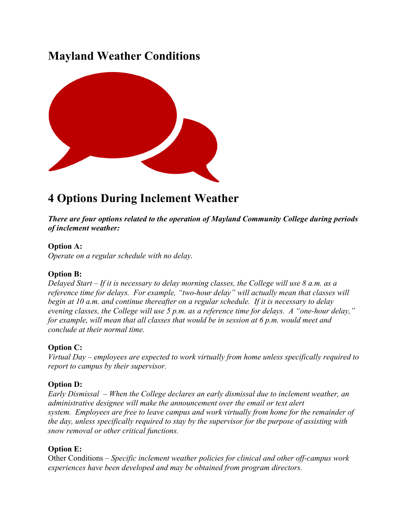## **Mayland Weather Conditions**



# **4 Options During Inclement Weather**

*There are four options related to the operation of Mayland Community College during periods of inclement weather:*

#### **Option A:**

*Operate on a regular schedule with no delay.*

#### **Option B:**

*Delayed Start – If it is necessary to delay morning classes, the College will use 8 a.m. as a reference time for delays. For example, "two-hour delay" will actually mean that classes will begin at 10 a.m. and continue thereafter on a regular schedule. If it is necessary to delay evening classes, the College will use 5 p.m. as a reference time for delays. A "one-hour delay," for example, will mean that all classes that would be in session at 6 p.m. would meet and conclude at their normal time.*

#### **Option C:**

*Virtual Day – employees are expected to work virtually from home unless specifically required to report to campus by their supervisor.*

#### **Option D:**

*Early Dismissal – When the College declares an early dismissal due to inclement weather, an administrative designee will make the announcement over the email or text alert system. Employees are free to leave campus and work virtually from home for the remainder of the day, unless specifically required to stay by the supervisor for the purpose of assisting with snow removal or other critical functions.*

#### **Option E:**

Other Conditions – *Specific inclement weather policies for clinical and other off-campus work experiences have been developed and may be obtained from program directors.*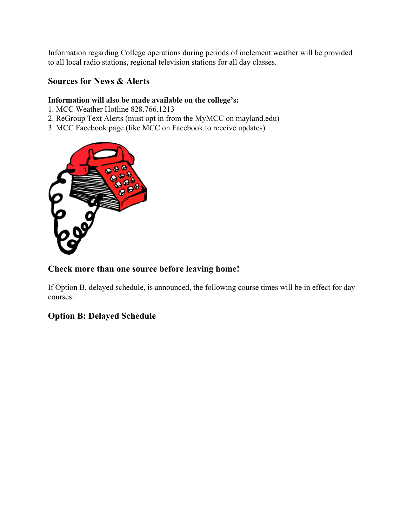Information regarding College operations during periods of inclement weather will be provided to all local radio stations, regional television stations for all day classes.

#### **Sources for News & Alerts**

#### **Information will also be made available on the college's:**

- 1. MCC Weather Hotline 828.766.1213
- 2. ReGroup Text Alerts (must opt in from the MyMCC on mayland.edu)
- 3. MCC Facebook page (like MCC on Facebook to receive updates)



#### **Check more than one source before leaving home!**

If Option B, delayed schedule, is announced, the following course times will be in effect for day courses:

### **Option B: Delayed Schedule**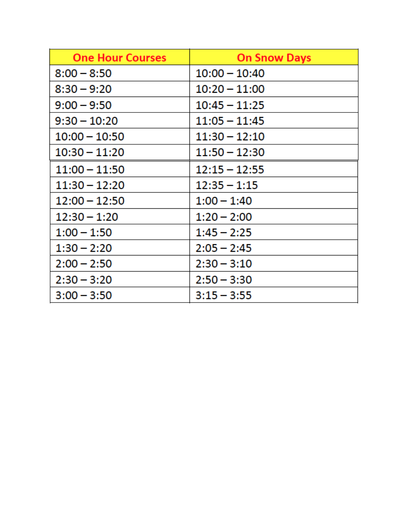| <b>One Hour Courses</b> | <b>On Snow Days</b> |
|-------------------------|---------------------|
| $8:00 - 8:50$           | $10:00 - 10:40$     |
| $8:30 - 9:20$           | $10:20 - 11:00$     |
| $9:00 - 9:50$           | $10:45 - 11:25$     |
| $9:30 - 10:20$          | $11:05 - 11:45$     |
| $10:00 - 10:50$         | $11:30 - 12:10$     |
| $10:30 - 11:20$         | $11:50 - 12:30$     |
| $11:00 - 11:50$         | $12:15 - 12:55$     |
| $11:30 - 12:20$         | $12:35 - 1:15$      |
| $12:00 - 12:50$         | $1:00 - 1:40$       |
| $12:30 - 1:20$          | $1:20 - 2:00$       |
| $1:00 - 1:50$           | $1:45 - 2:25$       |
| $1:30 - 2:20$           | $2:05 - 2:45$       |
| $2:00 - 2:50$           | $2:30 - 3:10$       |
| $2:30 - 3:20$           | $2:50 - 3:30$       |
| $3:00 - 3:50$           | $3:15 - 3:55$       |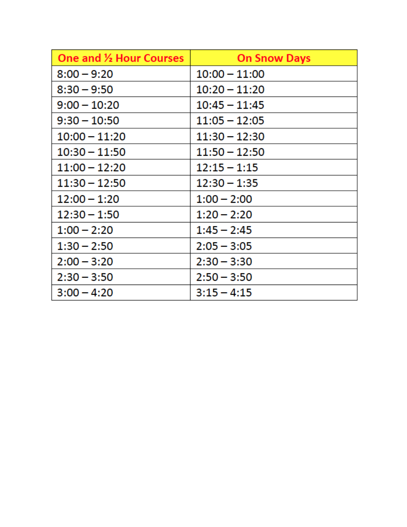| <b>One and 1/2 Hour Courses</b> | <b>On Snow Days</b> |
|---------------------------------|---------------------|
| $8:00 - 9:20$                   | $10:00 - 11:00$     |
| $8:30 - 9:50$                   | $10:20 - 11:20$     |
| $9:00 - 10:20$                  | $10:45 - 11:45$     |
| $9:30 - 10:50$                  | $11:05 - 12:05$     |
| $10:00 - 11:20$                 | $11:30 - 12:30$     |
| $10:30 - 11:50$                 | $11:50 - 12:50$     |
| $11:00 - 12:20$                 | $12:15 - 1:15$      |
| $11:30 - 12:50$                 | $12:30 - 1:35$      |
| 12:00 - 1:20                    | $1:00 - 2:00$       |
| $12:30 - 1:50$                  | $1:20 - 2:20$       |
| $1:00 - 2:20$                   | $1:45 - 2:45$       |
| $1:30 - 2:50$                   | $2:05 - 3:05$       |
| $2:00 - 3:20$                   | $2:30 - 3:30$       |
| $2:30 - 3:50$                   | $2:50 - 3:50$       |
| $3:00 - 4:20$                   | $3:15 - 4:15$       |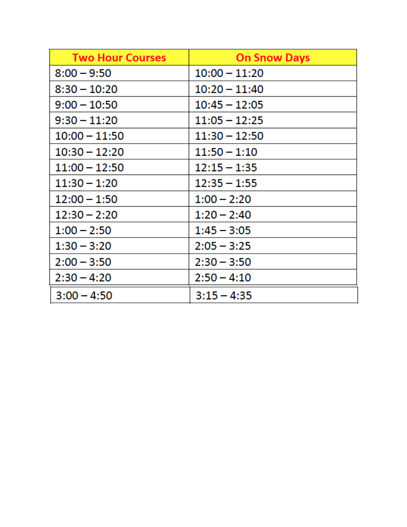| <b>Two Hour Courses</b> | <b>On Snow Days</b> |
|-------------------------|---------------------|
| $8:00 - 9:50$           | $10:00 - 11:20$     |
| $8:30 - 10:20$          | $10:20 - 11:40$     |
| $9:00 - 10:50$          | $10:45 - 12:05$     |
| $9:30 - 11:20$          | $11:05 - 12:25$     |
| $10:00 - 11:50$         | $11:30 - 12:50$     |
| $10:30 - 12:20$         | $11:50 - 1:10$      |
| $11:00 - 12:50$         | $12:15 - 1:35$      |
| $11:30 - 1:20$          | $12:35 - 1:55$      |
| $12:00 - 1:50$          | $1:00 - 2:20$       |
| $12:30 - 2:20$          | $1:20 - 2:40$       |
| $1:00 - 2:50$           | $1:45 - 3:05$       |
| $1:30 - 3:20$           | $2:05 - 3:25$       |
| $2:00 - 3:50$           | $2:30 - 3:50$       |
| $2:30 - 4:20$           | $2:50 - 4:10$       |
| $3:00 - 4:50$           | $3:15 - 4:35$       |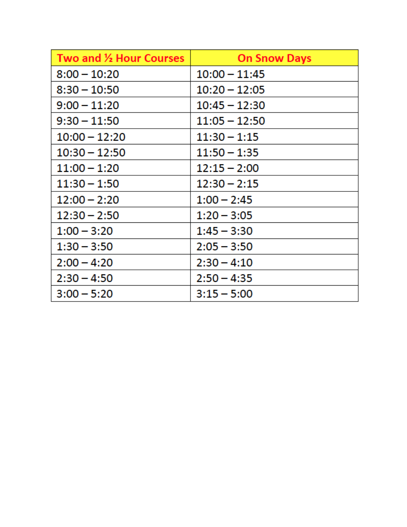| Two and 1/2 Hour Courses | <b>On Snow Days</b> |
|--------------------------|---------------------|
| $8:00 - 10:20$           | $10:00 - 11:45$     |
| $8:30 - 10:50$           | $10:20 - 12:05$     |
| $9:00 - 11:20$           | $10:45 - 12:30$     |
| $9:30 - 11:50$           | $11:05 - 12:50$     |
| $10:00 - 12:20$          | $11:30 - 1:15$      |
| $10:30 - 12:50$          | $11:50 - 1:35$      |
| $11:00 - 1:20$           | $12:15 - 2:00$      |
| $11:30 - 1:50$           | $12:30 - 2:15$      |
| $12:00 - 2:20$           | $1:00 - 2:45$       |
| $12:30 - 2:50$           | $1:20 - 3:05$       |
| $1:00 - 3:20$            | $1:45 - 3:30$       |
| $1:30 - 3:50$            | $2:05 - 3:50$       |
| $2:00 - 4:20$            | $2:30 - 4:10$       |
| $2:30 - 4:50$            | $2:50 - 4:35$       |
| $3:00 - 5:20$            | $3:15 - 5:00$       |